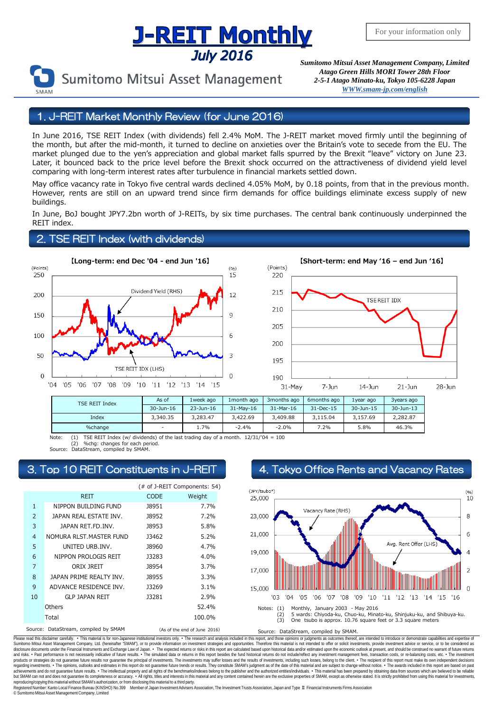## <u>J-REIT Monthly</u> **July 2016**



Sumitomo Mitsui Asset Management

*Sumitomo Mitsui Asset Management Company, Limited Atago Green Hills MORI Tower 28th Floor 2-5-1 Atago Minato-ku, Tokyo 105-6228 Japa[n](mailto:English@smam-jp.com) [WWW.smam-jp.com/english](http://www.smam-jp.com/english)*

### 1. J-REIT Market Monthly Review (for June 2016)

In June 2016, TSE REIT Index (with dividends) fell 2.4% MoM. The J-REIT market moved firmly until the beginning of the month, but after the mid-month, it turned to decline on anxieties over the Britain's vote to secede from the EU. The market plunged due to the yen's appreciation and global market falls spurred by the Brexit "leave" victory on June 23. Later, it bounced back to the price level before the Brexit shock occurred on the attractiveness of dividend yield level comparing with long-term interest rates after turbulence in financial markets settled down.

May office vacancy rate in Tokyo five central wards declined 4.05% MoM, by 0.18 points, from that in the previous month. However, rents are still on an upward trend since firm demands for office buildings eliminate excess supply of new buildings.

In June, BoJ bought JPY7.2bn worth of J-REITs, by six time purchases. The central bank continuously underpinned the REIT index.

#### 2. TSE REIT Index (with dividends)





| TSE REIT Index | As of     | 1week ago | 1month ago | 3 months ago | 6months ago     | 1year ago | 3years ago |
|----------------|-----------|-----------|------------|--------------|-----------------|-----------|------------|
|                | 30-Jun-16 | 23-Jun-16 | 31-May-16  | 31-Mar-16    | $31 - Dec - 15$ | 30-Jun-15 | 30-Jun-13  |
| Index          | 3.340.35  | 3.283.47  | 3.422.69   | 3,409.88     | 3.115.04        | 3.157.69  | 2.282.87   |
| %change        |           | 1.7%      | $-2.4%$    | $-2.0%$      | 7.2%            | 5.8%      | 46.3%      |

Note: (1) TSE REIT Index (w/ dividends) of the last trading day of a month.  $12/31/704 = 100$ 

%chg: changes for each period Source: DataStream, compiled by SMAM.

|                |                                     |              | (# of J-REIT Components: 54) |  |
|----------------|-------------------------------------|--------------|------------------------------|--|
|                | <b>REIT</b>                         | <b>CODE</b>  | Weight                       |  |
| $\mathbf{1}$   | NIPPON BUILDING FUND                | <b>J8951</b> | 7.7%                         |  |
| $\overline{2}$ | JAPAN REAL ESTATE INV.              | <b>J8952</b> | 7.2%                         |  |
| 3              | JAPAN RET.FD.INV.                   | <b>J8953</b> | 5.8%                         |  |
| $\overline{4}$ | NOMURA RLST. MASTER FUND            | 13462        | 5.2%                         |  |
| 5              | UNITED URB.INV.                     | <b>J8960</b> | 4.7%                         |  |
| 6              | NIPPON PROLOGIS REIT                | <b>J3283</b> | 4.0%                         |  |
| $\overline{7}$ | ORIX JREIT                          | <b>J8954</b> | 3.7%                         |  |
| 8              | JAPAN PRIME REALTY INV.             | 18955        | 3.3%                         |  |
| 9              | ADVANCE RESIDENCE INV.              | <b>J3269</b> | 3.1%                         |  |
| 10             | <b>GLP JAPAN REIT</b>               | 13281        | 2.9%                         |  |
| Others         |                                     |              | 52.4%                        |  |
|                | Total                               |              | 100.0%                       |  |
|                | Course: DataCtroam sompiled by CMAM |              | $(1 - 5)$                    |  |

## 3. Top 10 REIT Constituents in J-REIT 4. Tokyo Office Rents and Vacancy Rates



Source: DataStream, compiled by SMAM (As of the end of June 2016) Source: DataStream, compiled by SMAM.

Please read this disclaimer carefuly. • This material is for non-Japanese institutional investors only. • The research and analysis included in this report, and those opinions or judgments as outcomes thereof, are intended disclosure documents under the Financial Instruments and Exchange Law of Japan. • The expected relums or risks in this report are calculated based upon historial data and/or estimated upon the economic outlook at present, products or strategies do not guarantee future results nor guarantee the principal of investments. The investments may suffer losses and the results of investments, including such losses, belong to the client. . The recipi regarding investments. • The opinions, outlooks and estimates in this report do not guarantee future trends or results. They constitute SMAM's judgment as of the date of this material and are subject to change without noti reproducing/copying this material without SMAM's authorization, or from disclosing thismaterial to a third party.

egistered Number: Kanto Local Finance Bureau (KINSHO) No.399 Member of Japan Investment Advisers Association, The Investment Trusts Association, Japan and Type Ⅱ Financial Instruments Firms Association © SumitomoMitsui Asset Management Company, Limited